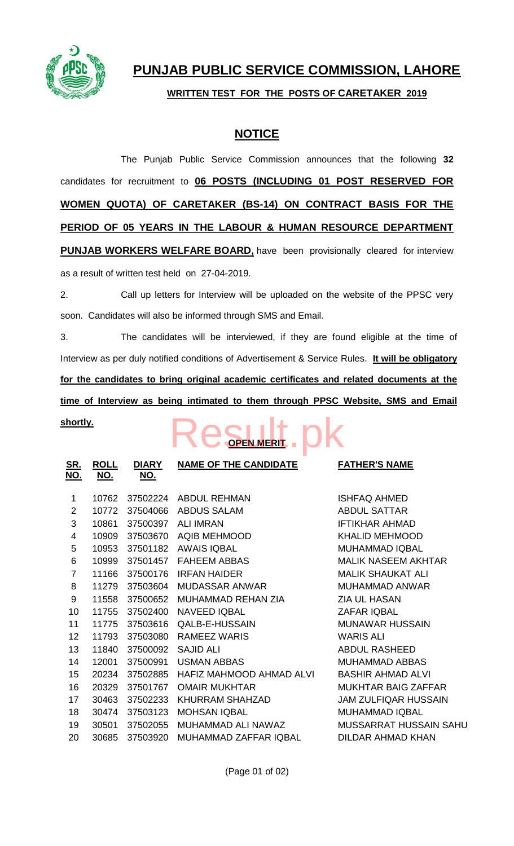

# **PUNJAB PUBLIC SERVICE COMMISSION, LAHORE**

### **WRITTEN TEST FOR THE POSTS OF CARETAKER 2019**

## **NOTICE**

The Punjab Public Service Commission announces that the following **32** candidates for recruitment to **06 POSTS (INCLUDING 01 POST RESERVED FOR WOMEN QUOTA) OF CARETAKER (BS-14) ON CONTRACT BASIS FOR THE PERIOD OF 05 YEARS IN THE LABOUR & HUMAN RESOURCE DEPARTMENT PUNJAB WORKERS WELFARE BOARD,** have been provisionally cleared for interview as a result of written test held on 27-04-2019.

2. Call up letters for Interview will be uploaded on the website of the PPSC very soon. Candidates will also be informed through SMS and Email.

3. The candidates will be interviewed, if they are found eligible at the time of Interview as per duly notified conditions of Advertisement & Service Rules. **It will be obligatory for the candidates to bring original academic certificates and related documents at the time of Interview as being intimated to them through PPSC Website, SMS and Email** 

#### **shortly.**

# **OPEN MERIT** [Result.pk](http://www.result.pk/)

| <u>SR.</u><br><u>NO.</u> | <u>ROLL</u><br><u>NO.</u> | <b>DIARY</b><br><u>NO.</u> | <b>NAME OF THE CANDIDATE</b> | <b>FATHER'S NAME</b>        |
|--------------------------|---------------------------|----------------------------|------------------------------|-----------------------------|
| 1                        | 10762                     | 37502224                   | <b>ABDUL REHMAN</b>          | <b>ISHFAQ AHMED</b>         |
| $\overline{2}$           | 10772                     | 37504066                   | <b>ABDUS SALAM</b>           | <b>ABDUL SATTAR</b>         |
| 3                        | 10861                     | 37500397                   | <b>ALI IMRAN</b>             | <b>IFTIKHAR AHMAD</b>       |
| 4                        | 10909                     | 37503670                   | <b>AQIB MEHMOOD</b>          | <b>KHALID MEHMOOD</b>       |
| 5                        | 10953                     | 37501182                   | <b>AWAIS IQBAL</b>           | <b>MUHAMMAD IQBAL</b>       |
| 6                        | 10999                     | 37501457                   | <b>FAHEEM ABBAS</b>          | <b>MALIK NASEEM AKHTAR</b>  |
| $\overline{7}$           | 11166                     | 37500176                   | <b>IRFAN HAIDER</b>          | <b>MALIK SHAUKAT ALI</b>    |
| 8                        | 11279                     | 37503604                   | <b>MUDASSAR ANWAR</b>        | <b>MUHAMMAD ANWAR</b>       |
| 9                        | 11558                     | 37500652                   | <b>MUHAMMAD REHAN ZIA</b>    | <b>ZIA UL HASAN</b>         |
| 10                       | 11755                     | 37502400                   | <b>NAVEED IQBAL</b>          | <b>ZAFAR IQBAL</b>          |
| 11                       | 11775                     | 37503616                   | QALB-E-HUSSAIN               | <b>MUNAWAR HUSSAIN</b>      |
| 12                       | 11793                     | 37503080                   | <b>RAMEEZ WARIS</b>          | <b>WARIS ALI</b>            |
| 13                       | 11840                     | 37500092                   | <b>SAJID ALI</b>             | <b>ABDUL RASHEED</b>        |
| 14                       | 12001                     | 37500991                   | <b>USMAN ABBAS</b>           | <b>MUHAMMAD ABBAS</b>       |
| 15                       | 20234                     | 37502885                   | HAFIZ MAHMOOD AHMAD ALVI     | <b>BASHIR AHMAD ALVI</b>    |
| 16                       | 20329                     | 37501767                   | <b>OMAIR MUKHTAR</b>         | <b>MUKHTAR BAIG ZAFFAR</b>  |
| 17                       | 30463                     | 37502233                   | KHURRAM SHAHZAD              | <b>JAM ZULFIQAR HUSSAIN</b> |
| 18                       | 30474                     | 37503123                   | <b>MOHSAN IQBAL</b>          | <b>MUHAMMAD IQBAL</b>       |
| 19                       | 30501                     | 37502055                   | MUHAMMAD ALI NAWAZ           | MUSSARRAT HUSSAIN SAHU      |
| 20                       | 30685                     | 37503920                   | MUHAMMAD ZAFFAR IQBAL        | DILDAR AHMAD KHAN           |
|                          |                           |                            |                              |                             |